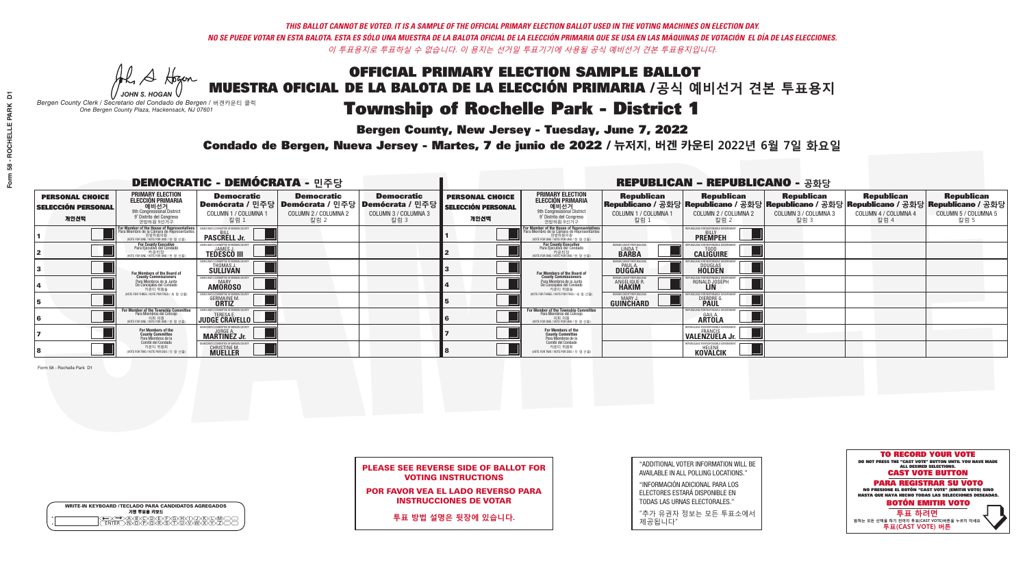A Hogan

**Bergen County, New Jersey - Tuesday, June 7, 2022** 

|                    | <b>WRITE-IN KEYBOARD /TECLADO PARA CANDIDATOS AGREGADOS</b><br>기명 투표용 키보드 |  |
|--------------------|---------------------------------------------------------------------------|--|
| $\circ$<br>$\circ$ | DBODDEDOHX<br>NOPORSTUM                                                   |  |

*JOHN S. HOGAN Bergen County Clerk / Secretario del Condado de Bergen /* 버겐카운티 클럭 *One Bergen County Plaza, Hackensack, NJ 07601*



| <b>PLEASE SEE REVERSE SIDE OF BALLOT FOR</b> |  |
|----------------------------------------------|--|
| <b>VOTING INSTRUCTIONS</b>                   |  |

POR FAVOR VEA EL LADO REVERSO PARA INSTRUCCIONES DE VOTAR

**투표 방법 설명은 뒷장에 있습니다.**

"ADDITIONAL VOTER INFORMATION WILL BE AVAILABLE IN ALL POLLING LOCATIONS."

"INFORMACIÓN ADICIONAL PARA LOS ELECTORES ESTARÁ DISPONIBLE EN TODAS LAS URNAS ELECTORALES."

"추가 유권자 정보는 모든 투표소에서 제공됩니다"

Condado de Bergen, Nueva Jersey - Martes, 7 de junio de 2022 / 뉴저지, 버겐 카운티 2022년 6월 7일 화요일 *One Bergen County Plaza, Hackensack, NJ 07601*

| <b>DEMOCRATIC - DEMÓCRATA - 민주당</b>                         |                                                                                                                                                   |                                                     |                                                                                                        |                                                   | <b>REPUBLICAN - REPUBLICANO - 공화당</b>                       |                                                                                                                                               |                                                           |                                                                                                                                                                                                                      |                              |                              |                              |
|-------------------------------------------------------------|---------------------------------------------------------------------------------------------------------------------------------------------------|-----------------------------------------------------|--------------------------------------------------------------------------------------------------------|---------------------------------------------------|-------------------------------------------------------------|-----------------------------------------------------------------------------------------------------------------------------------------------|-----------------------------------------------------------|----------------------------------------------------------------------------------------------------------------------------------------------------------------------------------------------------------------------|------------------------------|------------------------------|------------------------------|
| <b>PERSONAL CHOICE</b><br><b>SELECCIÓN PERSONAL</b><br>개인선택 | <b>PRIMARY ELECTION</b><br>ELECCIÓN PRIMARIA<br>에비선거<br><sup>9th</sup> Congressional District<br><sup>9'</sup> Distrito del Congreso<br>연방하원 9선거구 | <b>Democratic</b><br>COLUMN 1 / COLUMNA 1<br>칼럼 1   | <b>Democratic</b><br>│Demócrata / 민주당│Demócrata / 민주당│Demócrata / 민주당┃<br>COLUMN 2 / COLUMNA 2<br>칼럼 2 | <b>Democratic</b><br>COLUMN 3 / COLUMNA 3<br>칼럼 3 | <b>PERSONAL CHOICE</b><br><b>SELECCIÓN PERSONAL</b><br>개인선택 | <b>PRIMARY ELECTION</b><br>ELECCIÓN PRIMARIA<br>애비선거<br><sup>9th</sup> Congressional District<br>º Distrito del Congreso<br>연방하원 9선거구         | COLUMN 1 / COLUMNA 1<br>칼럼 :                              | │ Republican │ Republican │ Republican │ Republican Republican Republican Republican<br>│Republicano / 공화당│Republicano / 공화당│Republicano / 공화당│Republicano / 고화당│Republicano / 공화당│<br>COLUMN 2 / COLUMNA 2<br>·칼럼 2 | COLUMN 3 / COLUMNA 3<br>칼럼 3 | COLUMN 4 / COLUMNA 4<br>칼럼 4 | COLUMN 5 / COLUMNA 5<br>칼럼 5 |
|                                                             | or Member of the House of Representatives<br>ara Miembro de la Cámara de Representantes<br>연방하원의원<br>(VOTE FOR ONE / VOTE POR UNO / 한 명 선출)       | <b>PASCRELL Jr.</b>                                 |                                                                                                        |                                                   |                                                             | For Member of the House of Representatives<br>Para Miembro de la Cámara de Representantes<br>연방하원의원<br>(VOTE FOR ONE / VOTE POR UNO / 한 명 선출) |                                                           | <b>PREMPEH</b>                                                                                                                                                                                                       |                              |                              |                              |
|                                                             | <b>For County Executive</b><br>Para Ejecutivo del Condado<br>NOTE FOR ONE / VOTE POR UNO / 한 명 선출)                                                | <b>TEDESCO III</b>                                  |                                                                                                        |                                                   |                                                             | For County Executive<br>Para Ejecutivo del Condado<br>. 카운티장<br>(VOTE FOR ONE / VOTE POR UNO / 한 명 선출                                         | ERGEN COUNTY REPUBLICAN<br>LINDA T.                       | <b>CALIGUIRE</b>                                                                                                                                                                                                     |                              |                              |                              |
|                                                             | For Members of the Board of<br>County Commissioners                                                                                               | EMOCRATIC COMMITTEE OF BERGEN<br>THOMAS J.          |                                                                                                        |                                                   |                                                             | For Members of the Board of<br>County Commissioners                                                                                           | ERGEN COUNTY REPUBLIC/<br><b>PAUL A.</b><br><b>DUGGAN</b> | DOUGLAS<br>HOLDEN                                                                                                                                                                                                    |                              |                              |                              |
|                                                             | Para Miembros de la Junta<br>De Concejales del Condado<br>카운티 위원들                                                                                 | OCRATIC COMMITTEE OF BERGEN COUNT<br><b>AMOROSO</b> |                                                                                                        |                                                   |                                                             | Para Miembros de la Junta<br>De Concejales del Condado<br>카운티 위원들                                                                             | ERGEN COUNTY REPUBLICAN<br>ANGELIQUE R<br><b>HAKIM</b>    | RONALD JOSEPH                                                                                                                                                                                                        |                              |                              |                              |
|                                                             | VOTE FOR THREF / VOTE POR TRES / 세 명 서축                                                                                                           | <b>GERMAINE M.</b>                                  |                                                                                                        |                                                   |                                                             | NOTE FOR THREE / VOTE POR TRES / 세 명 선출                                                                                                       | ERGEN COUNTY REPUBLICAN:<br><b>GUINCHARD</b>              | <b>DIERDRE</b>                                                                                                                                                                                                       |                              |                              |                              |
|                                                             | For Member of the Township Committee<br>Para Miembros del Concejo<br>(VOTE FOR ONE / VOTE POR UNO / 한 명 선출                                        | JUDGE CRAVELLO                                      |                                                                                                        |                                                   |                                                             | For Member of the Township Committee<br>Para Miembros del Concejo<br>의회 의원<br>(VOTE FOR ONE / VOTE POR UNO / 한 명 선출                           |                                                           | : ENR RESPANSIRI I<br><b>ARTOLA</b>                                                                                                                                                                                  |                              |                              |                              |
|                                                             | For Members of the<br>County Committee<br>Para Miembros de la<br>Comité del Condado                                                               | <b>MARTINEZ Jr.</b>                                 |                                                                                                        |                                                   |                                                             | For Members of the<br>County Committee<br>Para Miembros de la<br>Comité del Condado                                                           |                                                           | VALENZÜËLA Jr.                                                                                                                                                                                                       |                              |                              |                              |
|                                                             | 카운티 위원회<br>(VOTE FOR TWO / VOTE POR DOS / 두 명 선출)                                                                                                 | <b>CHRISTINE M.</b>                                 |                                                                                                        |                                                   |                                                             | 카운티 위원회<br>WOTE FOR TWO / VOTE POR DOS / 두 명 선출)                                                                                              |                                                           | <b>KOVALCIK</b>                                                                                                                                                                                                      |                              |                              |                              |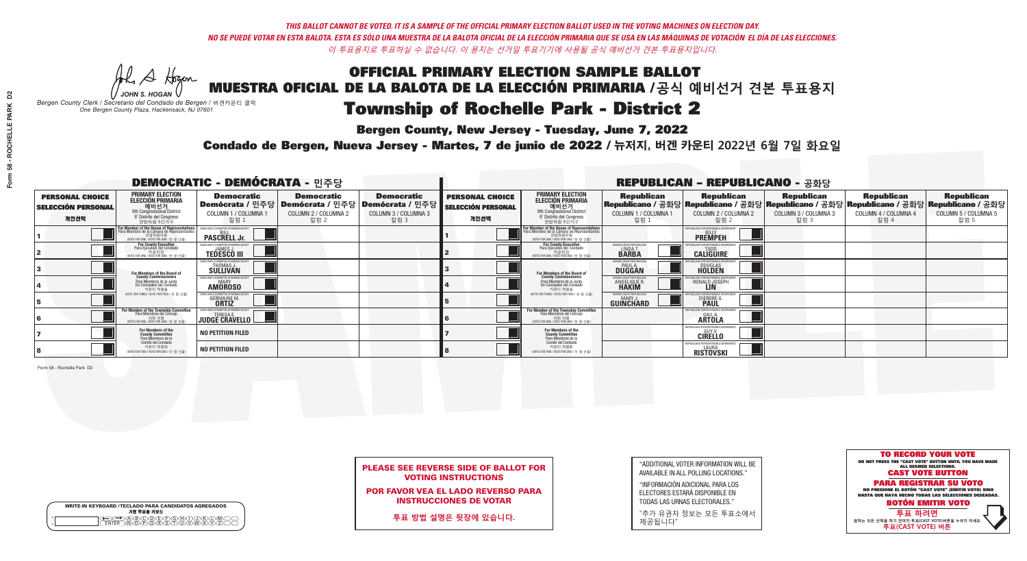**Bergen County, New Jersey - Tuesday, June 7, 2022** 

A Hogan *JOHN S. HOGAN*

|         | <b>WRITE-IN KEYBOARD /TECLADO PARA CANDIDATOS AGREGADOS</b><br>기명 투표용 키보드 |
|---------|---------------------------------------------------------------------------|
| $\circ$ | B)C)DE)F)G)H)<br>፞ <i>ቚ</i> ፙዂጞጞዂ                                         |

*Bergen County Clerk / Secretario del Condado de Bergen /* 버겐카운티 클럭 *One Bergen County Plaza, Hackensack, NJ 07601*

Condado de Bergen, Nueva Jersey - Martes, 7 de junio de 2022 / 뉴저지, 버겐 카운티 2022년 6월 7일 화요일 *One Bergen County Plaza, Hackensack, NJ 07601*



| <b>PLEASE SEE REVERSE SIDE OF BALLOT FOR</b> |  |
|----------------------------------------------|--|
| <b>VOTING INSTRUCTIONS</b>                   |  |

POR FAVOR VEA EL LADO REVERSO PARA INSTRUCCIONES DE VOTAR

**투표 방법 설명은 뒷장에 있습니다.**

"ADDITIONAL VOTER INFORMATION WILL BE AVAILABLE IN ALL POLLING LOCATIONS."

"INFORMACIÓN ADICIONAL PARA LOS ELECTORES ESTARÁ DISPONIBLE EN TODAS LAS URNAS ELECTORALES."

"추가 유권자 정보는 모든 투표소에서 제공됩니다"

| <b>DEMOCRATIC - DEMÓCRATA - 민주당</b>                         |                                                                                                                                                       |                                                     |                                                   |                                                                                                        | <b>REPUBLICAN - REPUBLICANO - 공화당</b>                |                                                                                                                                                   |                                                                     |                                                                                                                                                                                                                   |                              |                              |                              |  |
|-------------------------------------------------------------|-------------------------------------------------------------------------------------------------------------------------------------------------------|-----------------------------------------------------|---------------------------------------------------|--------------------------------------------------------------------------------------------------------|------------------------------------------------------|---------------------------------------------------------------------------------------------------------------------------------------------------|---------------------------------------------------------------------|-------------------------------------------------------------------------------------------------------------------------------------------------------------------------------------------------------------------|------------------------------|------------------------------|------------------------------|--|
| <b>PERSONAL CHOICE</b><br><b>SELECCIÓN PERSONAL</b><br>개인선택 | <b>PRIMARY ELECTION</b><br>ELECCIÓN PRIMARIA<br>에비선거<br><sup>9th</sup> Congressional District<br><sup>9'</sup> Distrito del Congreso<br>연방하원 9선거구     | <b>Democratic</b><br>COLUMN 1 / COLUMNA 1<br>칼럼 1   | <b>Democratic</b><br>COLUMN 2 / COLUMNA 2<br>칼럼 2 | <b>Democratic</b><br>│Demócrata / 민주당│Demócrata / 민주당│Demócrata / 민주당┃<br>COLUMN 3 / COLUMNA 3<br>칼럼 3 | <b>PERSONAL CHOICE</b><br>SELECCIÓN PERSONAL<br>개인선택 | <b>PRIMARY ELECTION</b><br>ELECCIÓN PRIMARIA<br>에비선거<br><sup>9th</sup> Congressional District<br><sup>9'</sup> Distrito del Congreso<br>연방하원 9선거구 | COLUMN 1 / COLUMNA 1<br>칼럼 1                                        | │ Republican │ Republican │ Republican Republican Republican Republican Republican<br>│Republicano / 공화당│Republicano / 공화당│Republicano / 공화당│Republicano / 공화당│Republicano / 공화당<br>COLUMN 2 / COLUMNA 2<br>·칼럼 2 | COLUMN 3 / COLUMNA 3<br>칼럼 3 | COLUMN 4 / COLUMNA 4<br>칼럼 4 | COLUMN 5 / COLUMNA 5<br>칼럼 5 |  |
|                                                             | F <b>or Member of the House of Representatives</b><br>Para Miembro de la Cámara de Representantes<br>연방하원의원<br>(VOTE FOR ONE / VOTE POR UNO / 한 명 선출) | <b>PASCRELL Jr.</b>                                 |                                                   |                                                                                                        |                                                      | For Member of the House of Representatives<br>Para Miembro de la Cámara de Representantes<br>연방하원의원<br>(VOTE FOR ONE / VOTE POR UNO / 한 명 선출)     |                                                                     | <b>PREMPEH</b>                                                                                                                                                                                                    |                              |                              |                              |  |
|                                                             | For County Executive<br>Para Ejecutivo del Condado<br>NOTE FOR ONE / VOTE POR UNO / 한 명 선출)                                                           | <b>TEDESCO III</b>                                  |                                                   |                                                                                                        |                                                      | For County Executive<br>Para Ejecutivo del Condado<br>, 카운티장<br>VOTE FOR ONE / VOTE POR UNO / 한 명 선출                                              | ERGEN COUNTY REPUBLICA!<br>LINDA T.                                 | <b>CALIGUIRE</b>                                                                                                                                                                                                  |                              |                              |                              |  |
|                                                             | For Members of the Board of<br>County Commissioners                                                                                                   | MOCRATIC COMMITTEE OF BERGEN (<br>THOMAS J.         |                                                   |                                                                                                        |                                                      | For Members of the Board of<br>County Commissioners                                                                                               | ERGEN COUNTY REPUBLIC<br><b>PAUL A.</b><br><b>DUGGAN</b>            | DOUGLAS<br>HOLDEN                                                                                                                                                                                                 |                              |                              |                              |  |
|                                                             | Para Miembros de la Junta<br>De Concejales del Condado<br>카우티 위원들                                                                                     | OCRATIC COMMITTEE OF BERGEN COUNT<br><b>AMOROSO</b> |                                                   |                                                                                                        |                                                      | Para Miembros de la Junta<br>De Concejales del Condado<br>카운티 위원들                                                                                 | <b>RGEN COUNTY REPUBLICA!</b><br><b>ANGELIQUE R</b><br><b>HAKIM</b> | RONALD JOSEPH                                                                                                                                                                                                     |                              |                              |                              |  |
|                                                             | VOTE FOR THREE / VOTE POR TRES / 세 명 서축                                                                                                               | <b>GERMAINE M.</b>                                  |                                                   |                                                                                                        |                                                      | NOTE FOR THREE / VOTE POR TRES / 세 명 선축                                                                                                           | <b>RGEN COUNTY REPUBLICANS</b><br><b>GUINCHARD</b>                  | <b>DIERDRE</b>                                                                                                                                                                                                    |                              |                              |                              |  |
|                                                             | For Member of the Township Committee<br>Para Miembros del Concejo<br>의회 의원<br>(VOTE FOR ONE / VOTE POR UNO / 한 명 선                                    | <b>JUDGE CRAVELLO</b>                               |                                                   |                                                                                                        |                                                      | For Member of the Township Committee<br>Para Miembros del Concejo<br>의회 의원<br>(VOTE FOR ONE / VOTE POR UNO / 한 명 선출                               |                                                                     | ENR RESPANSIRI I<br><b>ARTOLA</b>                                                                                                                                                                                 |                              |                              |                              |  |
|                                                             | For Members of the<br>County Committee<br>Para Miembros de la<br>Comité del Condado                                                                   | <b>NO PETITION FILED</b>                            |                                                   |                                                                                                        |                                                      | For Members of the<br>County Committee<br>Para Miembros de la<br>Comité del Condado                                                               |                                                                     | <b>{EPUBLICANS FOR RESPONSIBLE</b><br><b>CIRELLO</b>                                                                                                                                                              |                              |                              |                              |  |
|                                                             | 카운티 위원회<br>NOTE FOR TWO / VOTE POR DOS / 두 명 선출)                                                                                                      | <b>NO PETITION FILED</b>                            |                                                   |                                                                                                        |                                                      | 카운티 위원회<br>NOTE FOR TWO / VOTE POR DOS / 두 명 선출)                                                                                                  |                                                                     | <b>RISTOVSKI</b>                                                                                                                                                                                                  |                              |                              |                              |  |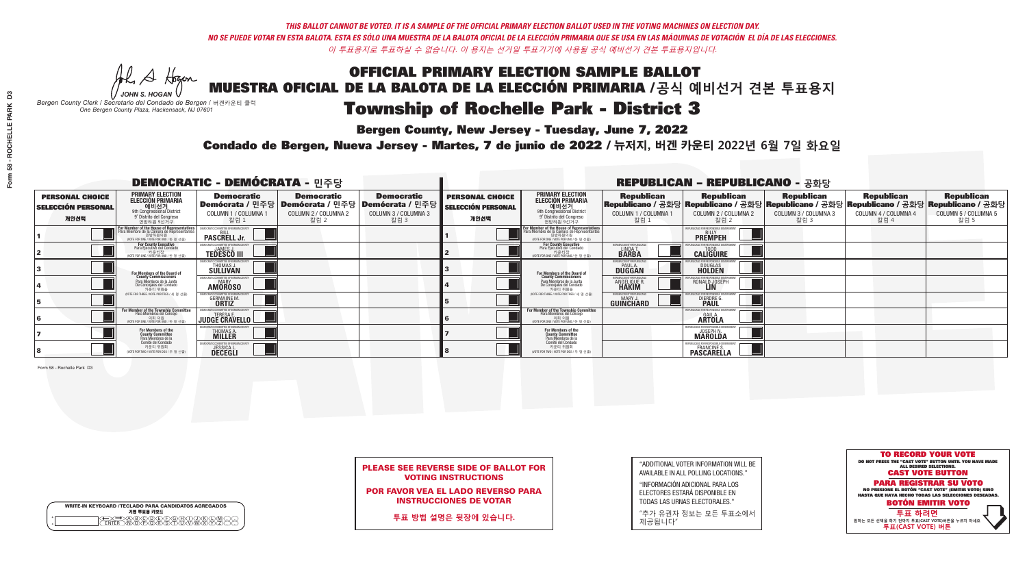**Bergen County, New Jersey - Tuesday, June 7, 2022** 

A Hogan *JOHN S. HOGAN*

|         | <b>WRITE-IN KEYBOARD /TECLADO PARA CANDIDATOS AGREGADOS</b><br>기명 투표용 키보드 |  |
|---------|---------------------------------------------------------------------------|--|
| $\circ$ | XBXCXDXEXFXGXAX<br>ኻወ፝፟፝፝፝፝፝፟፝፝፝ዀ፝፟ዂ፝ጞጞጞጞ                                 |  |

*Bergen County Clerk / Secretario del Condado de Bergen /* 버겐카운티 클럭 *One Bergen County Plaza, Hackensack, NJ 07601*



| <b>PLEASE SEE REVERSE SIDE OF BALLOT FOR</b> |  |
|----------------------------------------------|--|
| <b>VOTING INSTRUCTIONS</b>                   |  |

POR FAVOR VEA EL LADO REVERSO PARA INSTRUCCIONES DE VOTAR

**투표 방법 설명은 뒷장에 있습니다.**

"ADDITIONAL VOTER INFORMATION WILL BE AVAILABLE IN ALL POLLING LOCATIONS."

"INFORMACIÓN ADICIONAL PARA LOS ELECTORES ESTARÁ DISPONIBLE EN TODAS LAS URNAS ELECTORALES."

"추가 유권자 정보는 모든 투표소에서 제공됩니다"

Condado de Bergen, Nueva Jersey - Martes, 7 de junio de 2022 / 뉴저지, 버겐 카운티 2022년 6월 7일 화요일 *One Bergen County Plaza, Hackensack, NJ 07601*

|                                                             |                                                                                                                                                   | <b>DEMOCRATIC - DEMÓCRATA - 민주당</b>                                |                                                                                                        |                                                   | <b>REPUBLICAN - REPUBLICANO - 공화당</b>                       |                                                                                                                                               |                                                        |                                                                                                                                                 |                                                   |                                                   |                                                   |  |
|-------------------------------------------------------------|---------------------------------------------------------------------------------------------------------------------------------------------------|--------------------------------------------------------------------|--------------------------------------------------------------------------------------------------------|---------------------------------------------------|-------------------------------------------------------------|-----------------------------------------------------------------------------------------------------------------------------------------------|--------------------------------------------------------|-------------------------------------------------------------------------------------------------------------------------------------------------|---------------------------------------------------|---------------------------------------------------|---------------------------------------------------|--|
| <b>PERSONAL CHOICE</b><br><b>SELECCIÓN PERSONAL</b><br>개인선택 | <b>PRIMARY ELECTION</b><br>ELECCIÓN PRIMARIA<br>에비선거<br><sup>9th</sup> Congressional District<br><sup>9'</sup> Distrito del Congreso<br>연방하원 9선거구 | <b>Democratic</b><br>COLUMN 1 / COLUMNA 1<br>_칼럼 1                 | <b>Democratic</b><br>│Demócrata / 민주당│Demócrata / 민주당│Demócrata / 민주당│<br>COLUMN 2 / COLUMNA 2<br>칼럼 2 | <b>Democratic</b><br>COLUMN 3 / COLUMNA 3<br>칼럼 3 | <b>PERSONAL CHOICE</b><br><b>SELECCIÓN PERSONAL</b><br>개인선택 | <b>PRIMARY ELECTION</b><br>ELECCIÓN PRIMARIA<br>애비선거<br><sup>9th</sup> Congressional District<br>º Distrito del Congreso<br>연방하원 9선거구         | <b>Republican</b><br>COLUMN 1 / COLUMNA 1<br>칼럼 :      | <b>Republican</b><br>Republicano / 공화당 Republicano / 공화당 Republicano / 공화당 Republicano / 공화당 Republicano / 공화당<br>COLUMN 2 / COLUMNA 2<br>·칼럼 2 | <b>Republican</b><br>COLUMN 3 / COLUMNA 3<br>칼럼 3 | <b>Republican</b><br>COLUMN 4 / COLUMNA 4<br>칼럼 4 | <b>Republican</b><br>COLUMN 5 / COLUMNA 5<br>칼럼 5 |  |
|                                                             | For Member of the House of Representatives<br>Para Miembro de la Cámara de Representantes<br>연방하원의원<br>(VOTE FOR ONE / VOTE POR UNO / 한 명 선출)     | <b>PASCRELL Jr.</b>                                                |                                                                                                        |                                                   |                                                             | For Member of the House of Representatives<br>Para Miembro de la Cámara de Representantes<br>연방하원의원<br>(VOTE FOR ONE / VOTE POR UNO / 한 명 선출) |                                                        | <b>PREMPEH</b>                                                                                                                                  |                                                   |                                                   |                                                   |  |
|                                                             | <b>For County Executive</b><br>Para Ejecutivo del Condado<br>NOTE FOR ONE / VOTE POR UNO / 한 명 선출)                                                | <b>TEDESCO III</b>                                                 |                                                                                                        |                                                   |                                                             | For County Executive<br>Para Ejecutivo del Condado<br>WOTE FOR ONE / VOTE POR UNO / 한 명 선출                                                    | BERGEN COUNTY REPUBLICAN<br>LINDAT.                    | <b>CALIGUIRE</b>                                                                                                                                |                                                   |                                                   |                                                   |  |
|                                                             | <b>For Members of the Board of<br/>County Commissioners</b>                                                                                       | MOCRATIC COMMITTEE OF BERGEI<br>THOMAS J.                          |                                                                                                        |                                                   |                                                             | For Members of the Board of<br>County Commissioners                                                                                           | ERGEN COUNTY REPUBLICA<br><b>DUGGAN</b>                | <b>DOUGLAS</b><br><b>HOLDEN</b>                                                                                                                 |                                                   |                                                   |                                                   |  |
|                                                             | Para Miembros de la Junta<br>De Concejales del Condado<br>카운티 위원들                                                                                 | <b><i>AOCRATIC COMMITTEE OF BERGEN COUNT</i></b><br><b>AMOROSO</b> |                                                                                                        |                                                   |                                                             | Para Miembros de la Junta<br>De Concejales del Condado<br>카운티 위원들                                                                             | ERGEN COUNTY REPUBLICA<br><b>ANGELIQUE R<br/>HAKIM</b> | RONALD JOSEPH<br><b>LIN</b>                                                                                                                     |                                                   |                                                   |                                                   |  |
|                                                             | NOTE FOR THREE / VOTE POR TRES / 세 명 선출)                                                                                                          | GERMAINE M.<br><b>ORTIZ</b>                                        |                                                                                                        |                                                   |                                                             | NOTE FOR THREE / VOTE POR TRES / 세 명 선출                                                                                                       | ERGEN COUNTY REPUBLICAN<br><b>GUINCHARD</b>            | <b>DIERDRE</b>                                                                                                                                  |                                                   |                                                   |                                                   |  |
|                                                             | For Member of the Township Committee<br>Para Miembros del Concejo<br>NOTE FOR ONE / VOTE POR UNO / 한 명 선출                                         | CRATIC COMMITTEE OF BERGEN COUNTY<br><b>JUDGE CRAVELLO</b>         |                                                                                                        |                                                   |                                                             | For Member of the Township Committee<br>Para Miembros del Concejo<br>WOTE FOR ONE / VOTE POR UNO / 한 명 선출                                     |                                                        | <b>EOR RESPONSIBLE</b><br><b>ARTOLA</b>                                                                                                         |                                                   |                                                   |                                                   |  |
|                                                             | For Members of the<br>County Committee<br>Para Miembros de la<br>Comité del Condado                                                               | JTIC COMMITTEE OF BERGEN.<br>THOMAS A.                             |                                                                                                        |                                                   |                                                             | For Members of the<br>County Committee<br>Para Miembros de la<br>Comité del Condado                                                           |                                                        | PUBLICANS FOR RESPONSIBLE GI<br><b>MAROLDA</b>                                                                                                  |                                                   |                                                   |                                                   |  |
|                                                             | 카운티 위원회<br>(VOTE FOR TWO / VOTE POR DOS / 두 명 선출)                                                                                                 | <b>JESSICAL</b>                                                    |                                                                                                        |                                                   |                                                             | 카운티 위원회<br>NOTE FOR TWO / VOTE POR DOS / 두 명 선출)                                                                                              |                                                        | FRANCINE S.<br><b>PASCARELLA</b>                                                                                                                |                                                   |                                                   |                                                   |  |